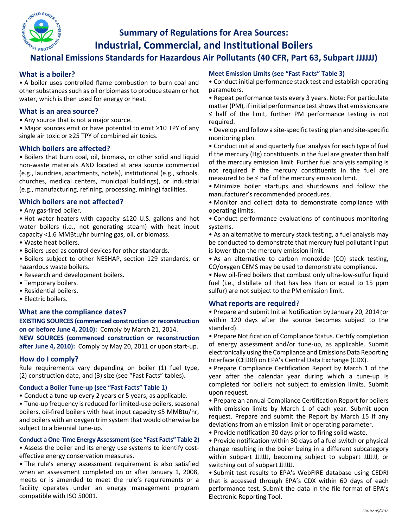

# **Summary of Regulations for Area Sources: Industrial, Commercial, and Institutional Boilers**

# **National Emissions Standards for Hazardous Air Pollutants (40 CFR, Part 63, Subpart JJJJJJ)**

## **What is a boiler?**

• A boiler uses controlled flame combustion to burn coal and other substances such as oil or biomass to produce steam or hot water, which is then used for energy or heat.

### **What is an area source?**

• Any source that is not a major source.

• Major sources emit or have potential to emit ≥10 TPY of any single air toxic or ≥25 TPY of combined air toxics.

### **Which boilers are affected?**

• Boilers that burn coal, oil, biomass, or other solid and liquid non-waste materials AND located at area source commercial (e.g., laundries, apartments, hotels), institutional (e.g., schools, churches, medical centers, municipal buildings), or industrial (e.g., manufacturing, refining, processing, mining) facilities.

## **Which boilers are not affected?**

• Any gas‐fired boiler.

• Hot water heaters with capacity ≤120 U.S. gallons and hot water boilers (i.e., not generating steam) with heat input capacity <1.6 MMBtu/hr burning gas, oil, or biomass.

- Waste heat boilers.
- Boilers used as control devices for other standards.

• Boilers subject to other NESHAP, section 129 standards, or hazardous waste boilers.

- Research and development boilers.
- Temporary boilers.
- Residential boilers.
- Electric boilers.

## **What are the compliance dates?**

**EXISTING SOURCES (commenced construction or reconstruction on or before June 4, 2010):** Comply by March 21, 2014.

**NEW SOURCES (commenced construction or reconstruction after June 4, 2010):** Comply by May 20, 2011 or upon start‐up.

#### **How do I comply?**

Rule requirements vary depending on boiler (1) fuel type, (2) construction date, and (3) size (see "Fast Facts" tables).

#### **Conduct a Boiler Tune-up (see "Fast Facts" Table 1)**

• Conduct a tune‐up every 2 years or 5 years, as applicable.

• Tune‐up frequency is reduced for limited‐use boilers, seasonal boilers, oil‐fired boilers with heat input capacity ≤5 MMBtu/hr, and boilers with an oxygen trim system that would otherwise be subject to a biennial tune‐up.

#### **Conduct a One-Time Energy Assessment (see "Fast Facts" Table 2)**

• Assess the boiler and its energy use systems to identify costeffective energy conservation measures.

• The rule's energy assessment requirement is also satisfied when an assessment completed on or after January 1, 2008, meets or is amended to meet the rule's requirements or a facility operates under an energy management program compatible with ISO 50001.

#### **Meet Emission Limits (see "Fast Facts" Table 3)**

• Conduct initial performance stack test and establish operating parameters.

• Repeat performance tests every 3 years. Note: For particulate matter (PM), if initial performance test shows that emissions are ≤ half of the limit, further PM performance testing is not required.

• Develop and follow a site‐specific testing plan and site‐specific monitoring plan.

• Conduct initial and quarterly fuel analysis for each type of fuel if the mercury (Hg) constituents in the fuel are greater than half of the mercury emission limit. Further fuel analysis sampling is not required if the mercury constituents in the fuel are measured to be ≤ half of the mercury emission limit.

• Minimize boiler startups and shutdowns and follow the manufacturer's recommended procedures.

• Monitor and collect data to demonstrate compliance with operating limits.

• Conduct performance evaluations of continuous monitoring systems.

• As an alternative to mercury stack testing, a fuel analysis may be conducted to demonstrate that mercury fuel pollutant input is lower than the mercury emission limit.

• As an alternative to carbon monoxide (CO) stack testing, CO/oxygen CEMS may be used to demonstrate compliance.

• New oil-fired boilers that combust only ultra-low-sulfur liquid fuel (i.e., distillate oil that has less than or equal to 15 ppm sulfur) are not subject to the PM emission limit.

#### **What reports are required**?

• Prepare and submit Initial Notification by January 20, 2014 (or within 120 days after the source becomes subject to the standard).

• Prepare Notification of Compliance Status. Certify completion of energy assessment and/or tune‐up, as applicable. Submit electronically using the Compliance and Emissions Data Reporting Interface (CEDRI) on EPA's Central Data Exchange (CDX).

• Prepare Compliance Certification Report by March 1 of the year after the calendar year during which a tune‐up is completed for boilers not subject to emission limits. Submit upon request.

• Prepare an annual Compliance Certification Report for boilers with emission limits by March 1 of each year. Submit upon request. Prepare and submit the Report by March 15 if any deviations from an emission limit or operating parameter.

• Provide notification 30 days prior to firing solid waste.

• Provide notification within 30 days of a fuel switch or physical change resulting in the boiler being in a different subcategory within subpart JJJJJJ, becoming subject to subpart JJJJJJ, or switching out of subpart JJJJJJ.

• Submit test results to EPA's WebFIRE database using CEDRI that is accessed through EPA's CDX within 60 days of each performance test. Submit the data in the file format of EPA's Electronic Reporting Tool.